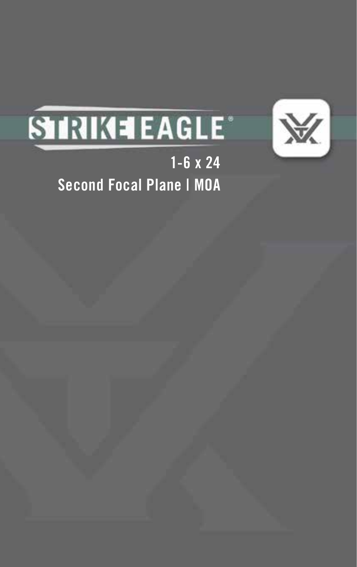

# **STRIKE LAGLE**

1-6 x 24 Second Focal Plane | MOA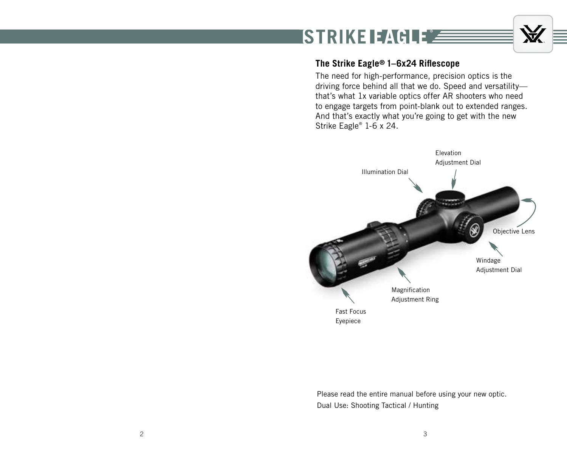# **ISTRIKE EAGLE**

### **The Strike Eagle® 1–6x24 Riflescope**

The need for high-performance, precision optics is the driving force behind all that we do. Speed and versatility that's what 1x variable optics offer AR shooters who need to engage targets from point-blank out to extended ranges. And that's exactly what you're going to get with the new Strike Eagle® 1-6 x 24.

A.



Please read the entire manual before using your new optic. Dual Use: Shooting Tactical / Hunting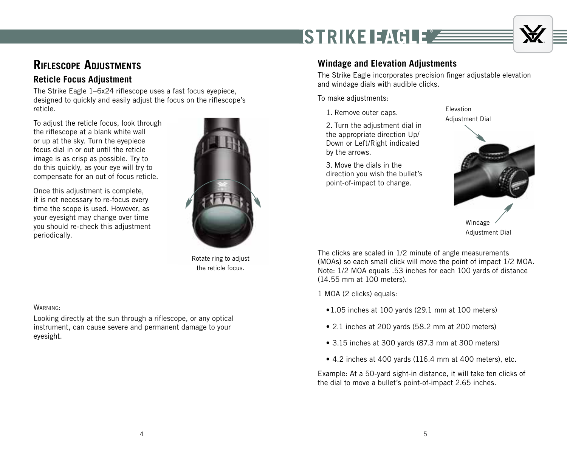

## **Riflescope Adjustments**

### **Reticle Focus Adjustment**

The Strike Eagle 1–6x24 riflescope uses a fast focus eyepiece, designed to quickly and easily adjust the focus on the riflescope's reticle.

To adjust the reticle focus, look through the riflescope at a blank white wall or up at the sky. Turn the eyepiece focus dial in or out until the reticle image is as crisp as possible. Try to do this quickly, as your eye will try to compensate for an out of focus reticle.

Once this adjustment is complete, it is not necessary to re-focus every time the scope is used. However, as your eyesight may change over time you should re-check this adjustment periodically.



Rotate ring to adjust the reticle focus.

#### WARNING:

Looking directly at the sun through a riflescope, or any optical instrument, can cause severe and permanent damage to your eyesight.

### **Windage and Elevation Adjustments**

STRIKE EAGLE Z

The Strike Eagle incorporates precision finger adjustable elevation and windage dials with audible clicks.

Elevation

To make adjustments:

1. Remove outer caps.

2. Turn the adjustment dial in the appropriate direction Up/ Down or Left/Right indicated by the arrows.

3. Move the dials in the direction you wish the bullet's point-of-impact to change.



The clicks are scaled in 1/2 minute of angle measurements (MOAs) so each small click will move the point of impact 1/2 MOA. Note: 1/2 MOA equals .53 inches for each 100 yards of distance (14.55 mm at 100 meters).

1 MOA (2 clicks) equals:

- •1.05 inches at 100 yards (29.1 mm at 100 meters)
- 2.1 inches at 200 yards (58.2 mm at 200 meters)
- 3.15 inches at 300 yards (87.3 mm at 300 meters)
- 4.2 inches at 400 yards (116.4 mm at 400 meters), etc.

Example: At a 50-yard sight-in distance, it will take ten clicks of the dial to move a bullet's point-of-impact 2.65 inches.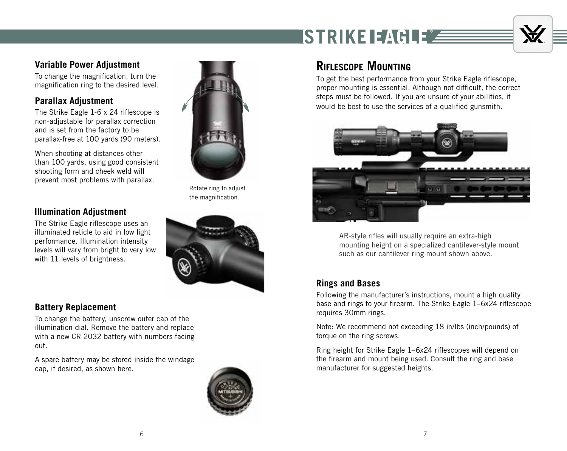**ISTRIKE EAGLEZ** 



### **Variable Power Adjustment**

To change the magnification, turn the magnification ring to the desired level.

### **Parallax Adjustment**

The Strike Eagle 1-6 x 24 riflescope is non-adjustable for parallax correction and is set from the factory to be parallax-free at 100 yards (90 meters).

When shooting at distances other than 100 yards, using good consistent shooting form and cheek weld will prevent most problems with parallax.

### **Illumination Adjustment**

The Strike Eagle riflescope uses an illuminated reticle to aid in low light performance. Illumination intensity levels will vary from bright to very low with 11 levels of brightness.

### **Battery Replacement**

To change the battery, unscrew outer cap of the illumination dial. Remove the battery and replace with a new CR 2032 battery with numbers facing out.

A spare battery may be stored inside the windage cap, if desired, as shown here.



Rotate ring to adjust the magnification.



### **Riflescope Mounting**

To get the best performance from your Strike Eagle riflescope, proper mounting is essential. Although not difficult, the correct steps must be followed. If you are unsure of your abilities, it would be best to use the services of a qualified gunsmith.



AR-style rifles will usually require an extra-high mounting height on a specialized cantilever-style mount such as our cantilever ring mount shown above.

### **Rings and Bases**

Following the manufacturer's instructions, mount a high quality base and rings to your firearm. The Strike Eagle 1–6x24 riflescope requires 30mm rings.

Note: We recommend not exceeding 18 in/lbs (inch/pounds) of torque on the ring screws.

Ring height for Strike Eagle 1–6x24 riflescopes will depend on the firearm and mount being used. Consult the ring and base manufacturer for suggested heights.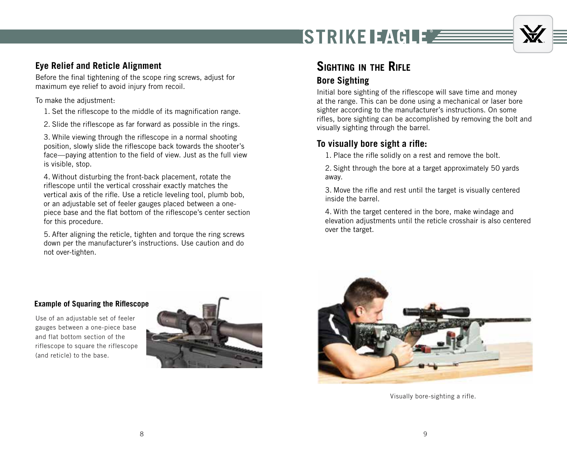![](_page_4_Picture_0.jpeg)

# Ť

### **Eye Relief and Reticle Alignment**

Before the final tightening of the scope ring screws, adjust for maximum eye relief to avoid injury from recoil.

To make the adjustment:

- 1. Set the riflescope to the middle of its magnification range.
- 2. Slide the riflescope as far forward as possible in the rings.

3. While viewing through the riflescope in a normal shooting position, slowly slide the riflescope back towards the shooter's face—paying attention to the field of view. Just as the full view is visible, stop.

4. Without disturbing the front-back placement, rotate the riflescope until the vertical crosshair exactly matches the vertical axis of the rifle. Use a reticle leveling tool, plumb bob, or an adjustable set of feeler gauges placed between a onepiece base and the flat bottom of the riflescope's center section for this procedure.

5. After aligning the reticle, tighten and torque the ring screws down per the manufacturer's instructions. Use caution and do not over-tighten.

## **Sighting in the Rifle**

### **Bore Sighting**

Initial bore sighting of the riflescope will save time and money at the range. This can be done using a mechanical or laser bore sighter according to the manufacturer's instructions. On some rifles, bore sighting can be accomplished by removing the bolt and visually sighting through the barrel.

### **To visually bore sight a rifle:**

1. Place the rifle solidly on a rest and remove the bolt.

2. Sight through the bore at a target approximately 50 yards away.

3. Move the rifle and rest until the target is visually centered inside the barrel.

4. With the target centered in the bore, make windage and elevation adjustments until the reticle crosshair is also centered over the target.

#### **Example of Squaring the Riflescope**

Use of an adjustable set of feeler gauges between a one-piece base and flat bottom section of the riflescope to square the riflescope (and reticle) to the base.

![](_page_4_Picture_20.jpeg)

![](_page_4_Picture_21.jpeg)

Visually bore-sighting a rifle.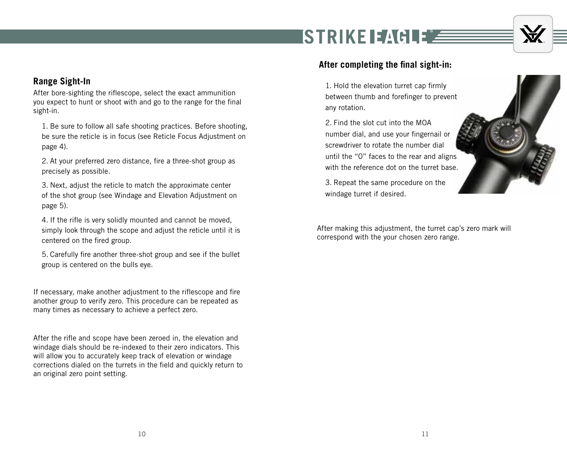# ISTRIKE EAGLEZ

![](_page_5_Picture_1.jpeg)

### **Range Sight-In**

After bore-sighting the riflescope, select the exact ammunition you expect to hunt or shoot with and go to the range for the final sight-in.

1. Be sure to follow all safe shooting practices. Before shooting, be sure the reticle is in focus (see Reticle Focus Adjustment on page 4).

2. At your preferred zero distance, fire a three-shot group as precisely as possible.

3. Next, adjust the reticle to match the approximate center of the shot group (see Windage and Elevation Adjustment on page 5).

4. If the rifle is very solidly mounted and cannot be moved, simply look through the scope and adjust the reticle until it is centered on the fired group.

5. Carefully fire another three-shot group and see if the bullet group is centered on the bulls eye.

If necessary, make another adjustment to the riflescope and fire another group to verify zero. This procedure can be repeated as many times as necessary to achieve a perfect zero.

After the rifle and scope have been zeroed in, the elevation and windage dials should be re-indexed to their zero indicators. This will allow you to accurately keep track of elevation or windage corrections dialed on the turrets in the field and quickly return to an original zero point setting.

### **After completing the final sight-in:**

1. Hold the elevation turret cap firmly between thumb and forefinger to prevent any rotation.

2. Find the slot cut into the MOA number dial, and use your fingernail or screwdriver to rotate the number dial until the "0" faces to the rear and aligns with the reference dot on the turret base.

3. Repeat the same procedure on the windage turret if desired.

After making this adjustment, the turret cap's zero mark will correspond with the your chosen zero range.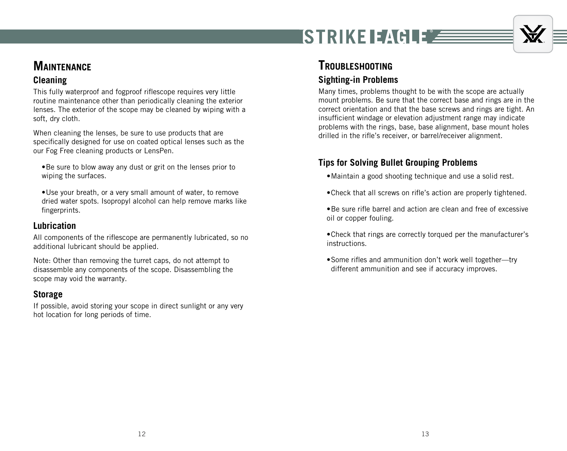![](_page_6_Picture_0.jpeg)

### **Maintenance**

### **Cleaning**

This fully waterproof and fogproof riflescope requires very little routine maintenance other than periodically cleaning the exterior lenses. The exterior of the scope may be cleaned by wiping with a soft, dry cloth.

When cleaning the lenses, be sure to use products that are specifically designed for use on coated optical lenses such as the our Fog Free cleaning products or LensPen.

- •Be sure to blow away any dust or grit on the lenses prior to wiping the surfaces.
- •Use your breath, or a very small amount of water, to remove dried water spots. Isopropyl alcohol can help remove marks like fingerprints.

### **Lubrication**

All components of the riflescope are permanently lubricated, so no additional lubricant should be applied.

Note: Other than removing the turret caps, do not attempt to disassemble any components of the scope. Disassembling the scope may void the warranty.

### **Storage**

If possible, avoid storing your scope in direct sunlight or any very hot location for long periods of time.

### **Troubleshooting Sighting-in Problems**

#### Many times, problems thought to be with the scope are actually mount problems. Be sure that the correct base and rings are in the correct orientation and that the base screws and rings are tight. An insufficient windage or elevation adjustment range may indicate problems with the rings, base, base alignment, base mount holes drilled in the rifle's receiver, or barrel/receiver alignment.

### **Tips for Solving Bullet Grouping Problems**

- •Maintain a good shooting technique and use a solid rest.
- •Check that all screws on rifle's action are properly tightened.
- •Be sure rifle barrel and action are clean and free of excessive oil or copper fouling.
- •Check that rings are correctly torqued per the manufacturer's instructions.
- •Some rifles and ammunition don't work well together—try different ammunition and see if accuracy improves.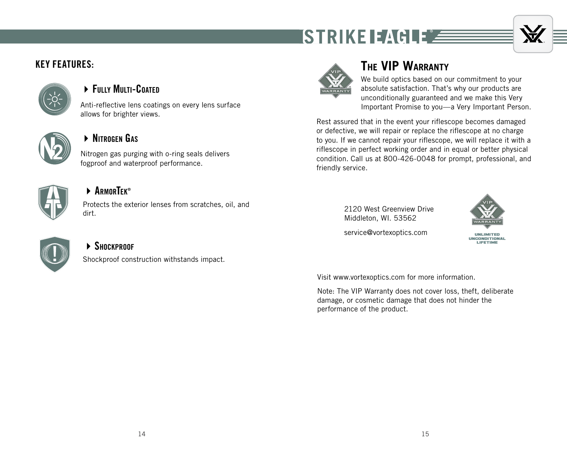![](_page_7_Picture_0.jpeg)

![](_page_7_Picture_1.jpeg)

### KEY FEATURES:

![](_page_7_Picture_3.jpeg)

### **FILLY MILTI-COATED**

Anti-reflective lens coatings on every lens surface allows for brighter views.

![](_page_7_Picture_6.jpeg)

### 4Nitrogen Gas

Nitrogen gas purging with o-ring seals delivers fogproof and waterproof performance.

![](_page_7_Picture_9.jpeg)

### **▶ ARMORTEK®**

Protects the exterior lenses from scratches, oil, and dirt.

![](_page_7_Picture_12.jpeg)

### $\triangleright$  **Shockproof**

Shockproof construction withstands impact.

![](_page_7_Picture_15.jpeg)

## **The VIP Warranty**

We build optics based on our commitment to your absolute satisfaction. That's why our products are unconditionally guaranteed and we make this Very Important Promise to you—a Very Important Person.

Rest assured that in the event your riflescope becomes damaged or defective, we will repair or replace the riflescope at no charge to you. If we cannot repair your riflescope, we will replace it with a riflescope in perfect working order and in equal or better physical condition. Call us at 800-426-0048 for prompt, professional, and friendly service.

> 2120 West Greenview Drive Middleton, WI. 53562

![](_page_7_Picture_20.jpeg)

service@vortexoptics.com

Visit www.vortexoptics.com for more information.

Note: The VIP Warranty does not cover loss, theft, deliberate damage, or cosmetic damage that does not hinder the performance of the product.